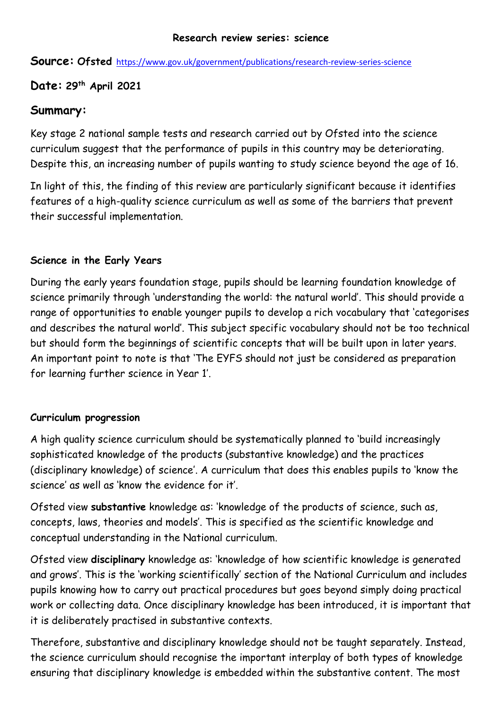#### **Research review series: science**

**Source: Ofsted** https://www.gov.uk/government/publications/research-review-series-science

# **Date: 29th April 2021**

## **Summary:**

Key stage 2 national sample tests and research carried out by Ofsted into the science curriculum suggest that the performance of pupils in this country may be deteriorating. Despite this, an increasing number of pupils wanting to study science beyond the age of 16.

In light of this, the finding of this review are particularly significant because it identifies features of a high-quality science curriculum as well as some of the barriers that prevent their successful implementation.

## **Science in the Early Years**

During the early years foundation stage, pupils should be learning foundation knowledge of science primarily through 'understanding the world: the natural world'. This should provide a range of opportunities to enable younger pupils to develop a rich vocabulary that 'categorises and describes the natural world'. This subject specific vocabulary should not be too technical but should form the beginnings of scientific concepts that will be built upon in later years. An important point to note is that 'The EYFS should not just be considered as preparation for learning further science in Year 1'.

### **Curriculum progression**

A high quality science curriculum should be systematically planned to 'build increasingly sophisticated knowledge of the products (substantive knowledge) and the practices (disciplinary knowledge) of science'. A curriculum that does this enables pupils to 'know the science' as well as 'know the evidence for it'.

Ofsted view **substantive** knowledge as: 'knowledge of the products of science, such as, concepts, laws, theories and models'. This is specified as the scientific knowledge and conceptual understanding in the National curriculum.

Ofsted view **disciplinary** knowledge as: 'knowledge of how scientific knowledge is generated and grows'. This is the 'working scientifically' section of the National Curriculum and includes pupils knowing how to carry out practical procedures but goes beyond simply doing practical work or collecting data. Once disciplinary knowledge has been introduced, it is important that it is deliberately practised in substantive contexts.

Therefore, substantive and disciplinary knowledge should not be taught separately. Instead, the science curriculum should recognise the important interplay of both types of knowledge ensuring that disciplinary knowledge is embedded within the substantive content. The most